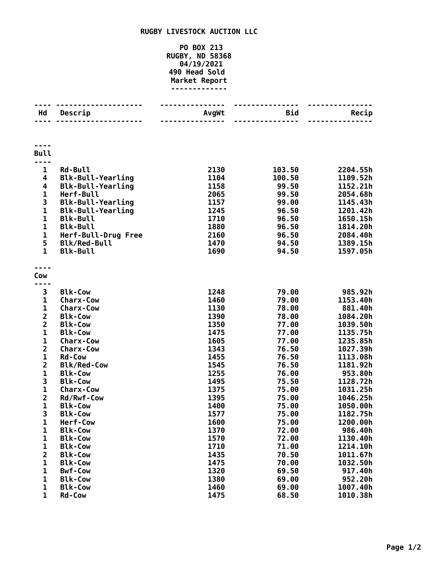## **RUGBY LIVESTOCK AUCTION LLC**

## **PO BOX 213 RUGBY, ND 58368 04/19/2021 Head Sold Market Report -------------**

| Hd                           | Descrip                          | AvgWt        | <b>Bid</b>     | Recip                |
|------------------------------|----------------------------------|--------------|----------------|----------------------|
|                              |                                  |              | ------         |                      |
|                              |                                  |              |                |                      |
| <b>Bull</b>                  |                                  |              |                |                      |
| $\mathbf 1$                  | <b>Rd-Bull</b>                   | 2130         | 103.50         | 2204.55h             |
| 4                            | <b>Blk-Bull-Yearling</b>         | 1104         | 100.50         | 1109.52h             |
| 4                            | <b>Blk-Bull-Yearling</b>         | 1158         | 99.50          | 1152.21h             |
| $\mathbf{1}$                 | Herf-Bull                        | 2065         | 99.50          | 2054.68h             |
| 3                            | <b>Blk-Bull-Yearling</b>         | 1157         | 99.00          | 1145.43h             |
| $\mathbf{1}$                 | <b>Blk-Bull-Yearling</b>         | 1245         | 96.50          | 1201.42h             |
| $\mathbf{1}$                 | <b>Blk-Bull</b>                  | 1710         | 96.50          | 1650.15h             |
| $\mathbf 1$                  | <b>Blk-Bull</b>                  | 1880         | 96.50          | 1814.20h             |
| $\mathbf 1$                  | Herf-Bull-Drug Free              | 2160         | 96.50          | 2084.40h             |
| 5                            | <b>Blk/Red-Bull</b>              | 1470         | 94.50          | 1389.15h             |
| $\mathbf{1}$                 | <b>Blk-Bull</b>                  | 1690         | 94.50          | 1597.05h             |
|                              |                                  |              |                |                      |
| Cow                          |                                  |              |                |                      |
| 3                            | <b>Blk-Cow</b>                   | 1248         | 79.00          | 985.92h              |
| $\mathbf{1}$                 | <b>Charx-Cow</b>                 | 1460         | 79.00          | 1153.40h             |
| $\mathbf 1$                  | <b>Charx-Cow</b>                 | 1130         | 78.00          | 881.40h              |
| $\overline{\mathbf{c}}$      | <b>Blk-Cow</b>                   | 1390         | 78.00          | 1084.20h             |
| $\overline{\mathbf{c}}$      | <b>Blk-Cow</b>                   | 1350         | 77.00          | 1039.50h             |
| $\mathbf{1}$                 | <b>Blk-Cow</b>                   | 1475         | 77.00          | 1135.75h             |
| $\mathbf{1}$                 | <b>Charx-Cow</b>                 | 1605         | 77.00          | 1235.85h             |
| $\overline{\mathbf{2}}$      | <b>Charx-Cow</b>                 | 1343         | 76.50          | 1027.39h             |
| $\mathbf{1}$                 | <b>Rd-Cow</b>                    | 1455         | 76.50          | 1113.08h             |
| $\overline{\mathbf{2}}$      | <b>Blk/Red-Cow</b>               | 1545         | 76.50          | 1181.92h             |
| 1                            | <b>Blk-Cow</b>                   | 1255         | 76.00          | 953.80h              |
| 3                            | <b>Blk-Cow</b>                   | 1495         | 75.50          | 1128.72h             |
| $\mathbf 1$                  | <b>Charx-Cow</b>                 | 1375         | 75.00          | 1031.25h             |
| $\overline{\mathbf{2}}$      | Rd/Rwf-Cow                       | 1395         | 75.00          | 1046.25h             |
| $\mathbf{1}$                 | <b>Blk-Cow</b>                   | 1400         | 75.00          | 1050.00h             |
| 3                            | <b>Blk-Cow</b>                   | 1577         | 75.00          | 1182.75h             |
| 1                            | Herf-Cow                         | 1600         | 75.00          | 1200.00h             |
| 1                            | <b>Blk-Cow</b>                   | 1370         | 72.00          | 986.40h              |
| 1                            | <b>Blk-Cow</b>                   | 1570         | 72.00          | 1130.40h             |
| 1                            | <b>Blk-Cow</b><br><b>Blk-Cow</b> | 1710<br>1435 | 71.00<br>70.50 | 1214.10h<br>1011.67h |
| $\overline{\mathbf{c}}$<br>1 | <b>Blk-Cow</b>                   | 1475         | 70.00          | 1032.50h             |
| 1                            | <b>Bwf-Cow</b>                   | 1320         | 69.50          | 917.40h              |
| 1                            | <b>Blk-Cow</b>                   | 1380         | 69.00          | 952.20h              |
| 1                            | <b>Blk-Cow</b>                   | 1460         | 69.00          | 1007.40h             |
| $\mathbf 1$                  | <b>Rd-Cow</b>                    | 1475         | 68.50          | 1010.38h             |